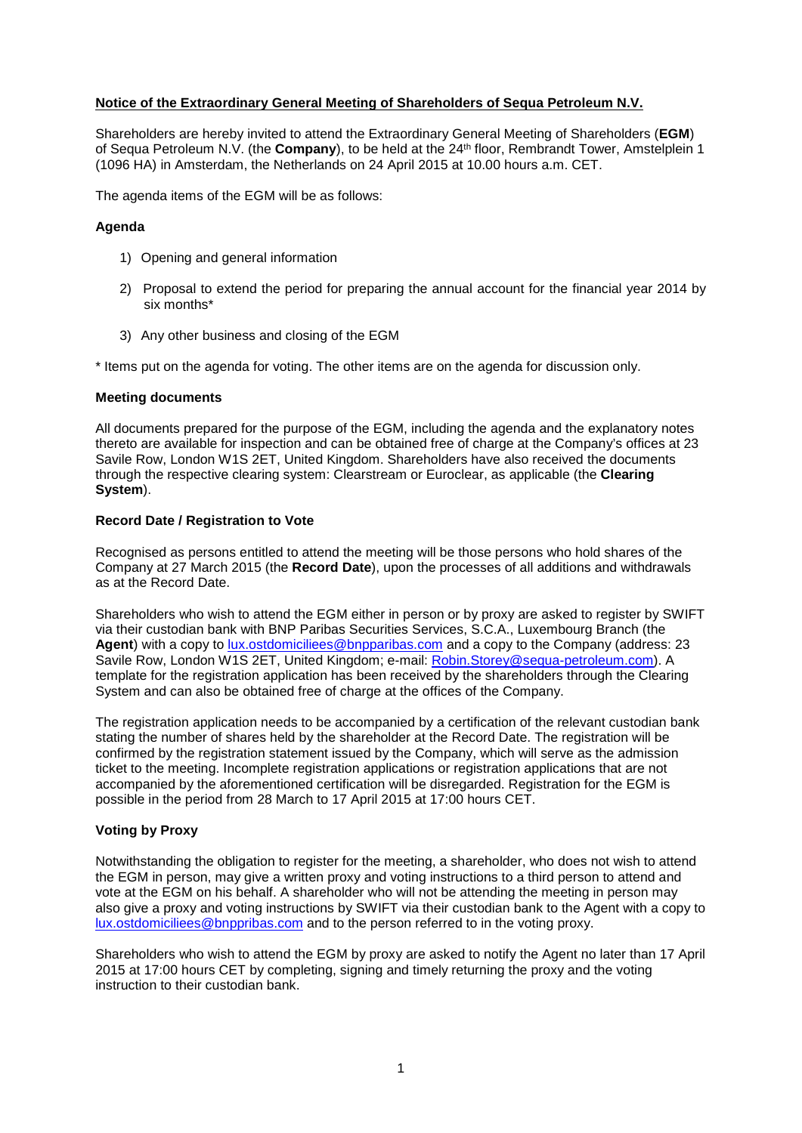# **Notice of the Extraordinary General Meeting of Shareholders of Sequa Petroleum N.V.**

Shareholders are hereby invited to attend the Extraordinary General Meeting of Shareholders (**EGM**) of Sequa Petroleum N.V. (the **Company**), to be held at the 24th floor, Rembrandt Tower, Amstelplein 1 (1096 HA) in Amsterdam, the Netherlands on 24 April 2015 at 10.00 hours a.m. CET.

The agenda items of the EGM will be as follows:

## **Agenda**

- 1) Opening and general information
- 2) Proposal to extend the period for preparing the annual account for the financial year 2014 by six months\*
- 3) Any other business and closing of the EGM

\* Items put on the agenda for voting. The other items are on the agenda for discussion only.

### **Meeting documents**

All documents prepared for the purpose of the EGM, including the agenda and the explanatory notes thereto are available for inspection and can be obtained free of charge at the Company's offices at 23 Savile Row, London W1S 2ET, United Kingdom. Shareholders have also received the documents through the respective clearing system: Clearstream or Euroclear, as applicable (the **Clearing System**).

### **Record Date / Registration to Vote**

Recognised as persons entitled to attend the meeting will be those persons who hold shares of the Company at 27 March 2015 (the **Record Date**), upon the processes of all additions and withdrawals as at the Record Date.

Shareholders who wish to attend the EGM either in person or by proxy are asked to register by SWIFT via their custodian bank with BNP Paribas Securities Services, S.C.A., Luxembourg Branch (the Agent) with a copy to [lux.ostdomiciliees@bnpparibas.com](mailto:lux.ostdomiciliees@bnpparibas.com) and a copy to the Company (address: 23 Savile Row, London W1S 2ET, United Kingdom; e-mail: [Robin.Storey@sequa-petroleum.com\)](mailto:Robin.Storey@sequa-petroleum.com). A template for the registration application has been received by the shareholders through the Clearing System and can also be obtained free of charge at the offices of the Company.

The registration application needs to be accompanied by a certification of the relevant custodian bank stating the number of shares held by the shareholder at the Record Date. The registration will be confirmed by the registration statement issued by the Company, which will serve as the admission ticket to the meeting. Incomplete registration applications or registration applications that are not accompanied by the aforementioned certification will be disregarded. Registration for the EGM is possible in the period from 28 March to 17 April 2015 at 17:00 hours CET.

### **Voting by Proxy**

Notwithstanding the obligation to register for the meeting, a shareholder, who does not wish to attend the EGM in person, may give a written proxy and voting instructions to a third person to attend and vote at the EGM on his behalf. A shareholder who will not be attending the meeting in person may also give a proxy and voting instructions by SWIFT via their custodian bank to the Agent with a copy to [lux.ostdomiciliees@bnppribas.com](mailto:lux.ostdomiciliees@bnppribas.com) and to the person referred to in the voting proxy.

Shareholders who wish to attend the EGM by proxy are asked to notify the Agent no later than 17 April 2015 at 17:00 hours CET by completing, signing and timely returning the proxy and the voting instruction to their custodian bank.